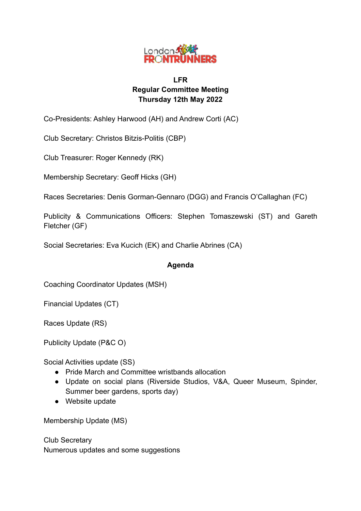

# **LFR Regular Committee Meeting Thursday 12th May 2022**

Co-Presidents: Ashley Harwood (AH) and Andrew Corti (AC)

Club Secretary: Christos Bitzis-Politis (CBP)

Club Treasurer: Roger Kennedy (RK)

Membership Secretary: Geoff Hicks (GH)

Races Secretaries: Denis Gorman-Gennaro (DGG) and Francis O'Callaghan (FC)

Publicity & Communications Officers: Stephen Tomaszewski (ST) and Gareth Fletcher (GF)

Social Secretaries: Eva Kucich (EK) and Charlie Abrines (CA)

# **Agenda**

Coaching Coordinator Updates (MSH)

Financial Updates (CT)

Races Update (RS)

Publicity Update (P&C O)

Social Activities update (SS)

- Pride March and Committee wristbands allocation
- Update on social plans (Riverside Studios, V&A, Queer Museum, Spinder, Summer beer gardens, sports day)
- Website update

Membership Update (MS)

Club Secretary Numerous updates and some suggestions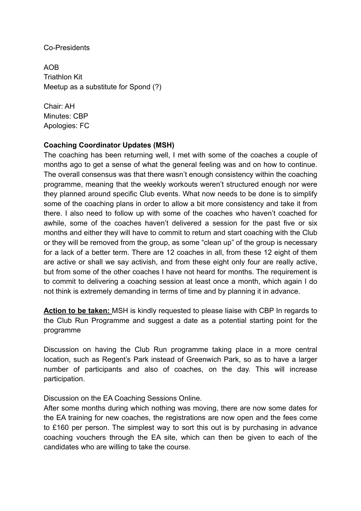## Co-Presidents

AOB Triathlon Kit Meetup as a substitute for Spond (?)

Chair: AH Minutes: CBP Apologies: FC

## **Coaching Coordinator Updates (MSH)**

The coaching has been returning well, I met with some of the coaches a couple of months ago to get a sense of what the general feeling was and on how to continue. The overall consensus was that there wasn't enough consistency within the coaching programme, meaning that the weekly workouts weren't structured enough nor were they planned around specific Club events. What now needs to be done is to simplify some of the coaching plans in order to allow a bit more consistency and take it from there. I also need to follow up with some of the coaches who haven't coached for awhile, some of the coaches haven't delivered a session for the past five or six months and either they will have to commit to return and start coaching with the Club or they will be removed from the group, as some "clean up" of the group is necessary for a lack of a better term. There are 12 coaches in all, from these 12 eight of them are active or shall we say activish, and from these eight only four are really active, but from some of the other coaches I have not heard for months. The requirement is to commit to delivering a coaching session at least once a month, which again I do not think is extremely demanding in terms of time and by planning it in advance.

**Action to be taken:** MSH is kindly requested to please liaise with CBP In regards to the Club Run Programme and suggest a date as a potential starting point for the programme

Discussion on having the Club Run programme taking place in a more central location, such as Regent's Park instead of Greenwich Park, so as to have a larger number of participants and also of coaches, on the day. This will increase participation.

Discussion on the EA Coaching Sessions Online.

After some months during which nothing was moving, there are now some dates for the EA training for new coaches, the registrations are now open and the fees come to £160 per person. The simplest way to sort this out is by purchasing in advance coaching vouchers through the EA site, which can then be given to each of the candidates who are willing to take the course.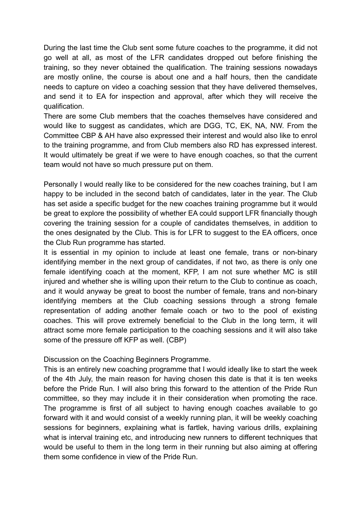During the last time the Club sent some future coaches to the programme, it did not go well at all, as most of the LFR candidates dropped out before finishing the training, so they never obtained the qualification. The training sessions nowadays are mostly online, the course is about one and a half hours, then the candidate needs to capture on video a coaching session that they have delivered themselves, and send it to EA for inspection and approval, after which they will receive the qualification.

There are some Club members that the coaches themselves have considered and would like to suggest as candidates, which are DGG, TC, EK, NA, NW. From the Committee CBP & AH have also expressed their interest and would also like to enrol to the training programme, and from Club members also RD has expressed interest. It would ultimately be great if we were to have enough coaches, so that the current team would not have so much pressure put on them.

Personally I would really like to be considered for the new coaches training, but I am happy to be included in the second batch of candidates, later in the year. The Club has set aside a specific budget for the new coaches training programme but it would be great to explore the possibility of whether EA could support LFR financially though covering the training session for a couple of candidates themselves, in addition to the ones designated by the Club. This is for LFR to suggest to the EA officers, once the Club Run programme has started.

It is essential in my opinion to include at least one female, trans or non-binary identifying member in the next group of candidates, if not two, as there is only one female identifying coach at the moment, KFP, I am not sure whether MC is still injured and whether she is willing upon their return to the Club to continue as coach, and it would anyway be great to boost the number of female, trans and non-binary identifying members at the Club coaching sessions through a strong female representation of adding another female coach or two to the pool of existing coaches. This will prove extremely beneficial to the Club in the long term, it will attract some more female participation to the coaching sessions and it will also take some of the pressure off KFP as well. (CBP)

Discussion on the Coaching Beginners Programme.

This is an entirely new coaching programme that I would ideally like to start the week of the 4th July, the main reason for having chosen this date is that it is ten weeks before the Pride Run. I will also bring this forward to the attention of the Pride Run committee, so they may include it in their consideration when promoting the race. The programme is first of all subject to having enough coaches available to go forward with it and would consist of a weekly running plan, it will be weekly coaching sessions for beginners, explaining what is fartlek, having various drills, explaining what is interval training etc, and introducing new runners to different techniques that would be useful to them in the long term in their running but also aiming at offering them some confidence in view of the Pride Run.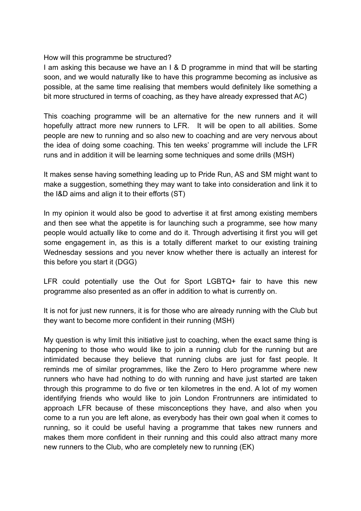How will this programme be structured?

I am asking this because we have an I & D programme in mind that will be starting soon, and we would naturally like to have this programme becoming as inclusive as possible, at the same time realising that members would definitely like something a bit more structured in terms of coaching, as they have already expressed that AC)

This coaching programme will be an alternative for the new runners and it will hopefully attract more new runners to LFR. It will be open to all abilities. Some people are new to running and so also new to coaching and are very nervous about the idea of doing some coaching. This ten weeks' programme will include the LFR runs and in addition it will be learning some techniques and some drills (MSH)

It makes sense having something leading up to Pride Run, AS and SM might want to make a suggestion, something they may want to take into consideration and link it to the I&D aims and align it to their efforts (ST)

In my opinion it would also be good to advertise it at first among existing members and then see what the appetite is for launching such a programme, see how many people would actually like to come and do it. Through advertising it first you will get some engagement in, as this is a totally different market to our existing training Wednesday sessions and you never know whether there is actually an interest for this before you start it (DGG)

LFR could potentially use the Out for Sport LGBTQ+ fair to have this new programme also presented as an offer in addition to what is currently on.

It is not for just new runners, it is for those who are already running with the Club but they want to become more confident in their running (MSH)

My question is why limit this initiative just to coaching, when the exact same thing is happening to those who would like to join a running club for the running but are intimidated because they believe that running clubs are just for fast people. It reminds me of similar programmes, like the Zero to Hero programme where new runners who have had nothing to do with running and have just started are taken through this programme to do five or ten kilometres in the end. A lot of my women identifying friends who would like to join London Frontrunners are intimidated to approach LFR because of these misconceptions they have, and also when you come to a run you are left alone, as everybody has their own goal when it comes to running, so it could be useful having a programme that takes new runners and makes them more confident in their running and this could also attract many more new runners to the Club, who are completely new to running (EK)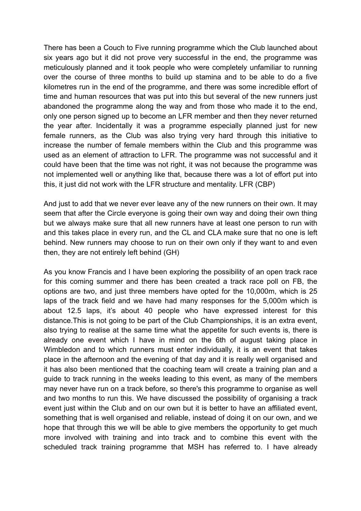There has been a Couch to Five running programme which the Club launched about six years ago but it did not prove very successful in the end, the programme was meticulously planned and it took people who were completely unfamiliar to running over the course of three months to build up stamina and to be able to do a five kilometres run in the end of the programme, and there was some incredible effort of time and human resources that was put into this but several of the new runners just abandoned the programme along the way and from those who made it to the end, only one person signed up to become an LFR member and then they never returned the year after. Incidentally it was a programme especially planned just for new female runners, as the Club was also trying very hard through this initiative to increase the number of female members within the Club and this programme was used as an element of attraction to LFR. The programme was not successful and it could have been that the time was not right, it was not because the programme was not implemented well or anything like that, because there was a lot of effort put into this, it just did not work with the LFR structure and mentality. LFR (CBP)

And just to add that we never ever leave any of the new runners on their own. It may seem that after the Circle everyone is going their own way and doing their own thing but we always make sure that all new runners have at least one person to run with and this takes place in every run, and the CL and CLA make sure that no one is left behind. New runners may choose to run on their own only if they want to and even then, they are not entirely left behind (GH)

As you know Francis and I have been exploring the possibility of an open track race for this coming summer and there has been created a track race poll on FB, the options are two, and just three members have opted for the 10,000m, which is 25 laps of the track field and we have had many responses for the 5,000m which is about 12.5 laps, it's about 40 people who have expressed interest for this distance.This is not going to be part of the Club Championships, it is an extra event, also trying to realise at the same time what the appetite for such events is, there is already one event which I have in mind on the 6th of august taking place in Wimbledon and to which runners must enter individually, it is an event that takes place in the afternoon and the evening of that day and it is really well organised and it has also been mentioned that the coaching team will create a training plan and a guide to track running in the weeks leading to this event, as many of the members may never have run on a track before, so there's this programme to organise as well and two months to run this. We have discussed the possibility of organising a track event just within the Club and on our own but it is better to have an affiliated event, something that is well organised and reliable, instead of doing it on our own, and we hope that through this we will be able to give members the opportunity to get much more involved with training and into track and to combine this event with the scheduled track training programme that MSH has referred to. I have already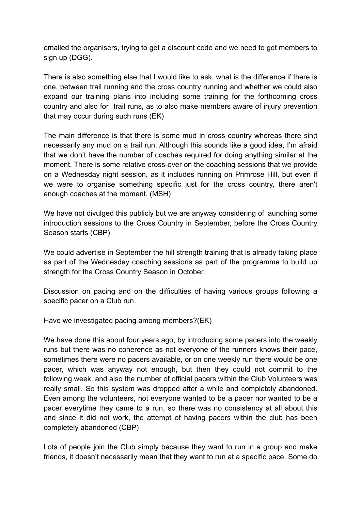emailed the organisers, trying to get a discount code and we need to get members to sign up (DGG).

There is also something else that I would like to ask, what is the difference if there is one, between trail running and the cross country running and whether we could also expand our training plans into including some training for the forthcoming cross country and also for trail runs, as to also make members aware of injury prevention that may occur during such runs (EK)

The main difference is that there is some mud in cross country whereas there sin;t necessarily any mud on a trail run. Although this sounds like a good idea, I'm afraid that we don't have the number of coaches required for doing anything similar at the moment. There is some relative cross-over on the coaching sessions that we provide on a Wednesday night session, as it includes running on Primrose Hill, but even if we were to organise something specific just for the cross country, there aren't enough coaches at the moment. (MSH)

We have not divulged this publicly but we are anyway considering of launching some introduction sessions to the Cross Country in September, before the Cross Country Season starts (CBP)

We could advertise in September the hill strength training that is already taking place as part of the Wednesday coaching sessions as part of the programme to build up strength for the Cross Country Season in October.

Discussion on pacing and on the difficulties of having various groups following a specific pacer on a Club run.

Have we investigated pacing among members?(EK)

We have done this about four years ago, by introducing some pacers into the weekly runs but there was no coherence as not everyone of the runners knows their pace, sometimes there were no pacers available, or on one weekly run there would be one pacer, which was anyway not enough, but then they could not commit to the following week, and also the number of official pacers within the Club Volunteers was really small. So this system was dropped after a while and completely abandoned. Even among the volunteers, not everyone wanted to be a pacer nor wanted to be a pacer everytime they came to a run, so there was no consistency at all about this and since it did not work, the attempt of having pacers within the club has been completely abandoned (CBP)

Lots of people join the Club simply because they want to run in a group and make friends, it doesn't necessarily mean that they want to run at a specific pace. Some do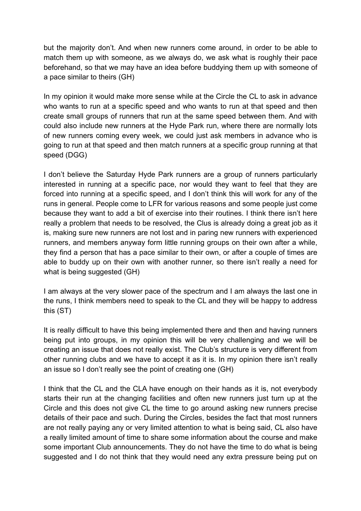but the majority don't. And when new runners come around, in order to be able to match them up with someone, as we always do, we ask what is roughly their pace beforehand, so that we may have an idea before buddying them up with someone of a pace similar to theirs (GH)

In my opinion it would make more sense while at the Circle the CL to ask in advance who wants to run at a specific speed and who wants to run at that speed and then create small groups of runners that run at the same speed between them. And with could also include new runners at the Hyde Park run, where there are normally lots of new runners coming every week, we could just ask members in advance who is going to run at that speed and then match runners at a specific group running at that speed (DGG)

I don't believe the Saturday Hyde Park runners are a group of runners particularly interested in running at a specific pace, nor would they want to feel that they are forced into running at a specific speed, and I don't think this will work for any of the runs in general. People come to LFR for various reasons and some people just come because they want to add a bit of exercise into their routines. I think there isn't here really a problem that needs to be resolved, the Clus is already doing a great job as it is, making sure new runners are not lost and in paring new runners with experienced runners, and members anyway form little running groups on their own after a while, they find a person that has a pace similar to their own, or after a couple of times are able to buddy up on their own with another runner, so there isn't really a need for what is being suggested (GH)

I am always at the very slower pace of the spectrum and I am always the last one in the runs, I think members need to speak to the CL and they will be happy to address this (ST)

It is really difficult to have this being implemented there and then and having runners being put into groups, in my opinion this will be very challenging and we will be creating an issue that does not really exist. The Club's structure is very different from other running clubs and we have to accept it as it is. In my opinion there isn't really an issue so I don't really see the point of creating one (GH)

I think that the CL and the CLA have enough on their hands as it is, not everybody starts their run at the changing facilities and often new runners just turn up at the Circle and this does not give CL the time to go around asking new runners precise details of their pace and such. During the Circles, besides the fact that most runners are not really paying any or very limited attention to what is being said, CL also have a really limited amount of time to share some information about the course and make some important Club announcements. They do not have the time to do what is being suggested and I do not think that they would need any extra pressure being put on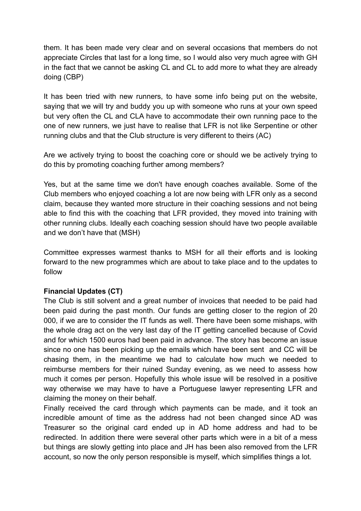them. It has been made very clear and on several occasions that members do not appreciate Circles that last for a long time, so I would also very much agree with GH in the fact that we cannot be asking CL and CL to add more to what they are already doing (CBP)

It has been tried with new runners, to have some info being put on the website, saying that we will try and buddy you up with someone who runs at your own speed but very often the CL and CLA have to accommodate their own running pace to the one of new runners, we just have to realise that LFR is not like Serpentine or other running clubs and that the Club structure is very different to theirs (AC)

Are we actively trying to boost the coaching core or should we be actively trying to do this by promoting coaching further among members?

Yes, but at the same time we don't have enough coaches available. Some of the Club members who enjoyed coaching a lot are now being with LFR only as a second claim, because they wanted more structure in their coaching sessions and not being able to find this with the coaching that LFR provided, they moved into training with other running clubs. Ideally each coaching session should have two people available and we don't have that (MSH)

Committee expresses warmest thanks to MSH for all their efforts and is looking forward to the new programmes which are about to take place and to the updates to follow

# **Financial Updates (CT)**

The Club is still solvent and a great number of invoices that needed to be paid had been paid during the past month. Our funds are getting closer to the region of 20 000, if we are to consider the IT funds as well. There have been some mishaps, with the whole drag act on the very last day of the IT getting cancelled because of Covid and for which 1500 euros had been paid in advance. The story has become an issue since no one has been picking up the emails which have been sent and CC will be chasing them, in the meantime we had to calculate how much we needed to reimburse members for their ruined Sunday evening, as we need to assess how much it comes per person. Hopefully this whole issue will be resolved in a positive way otherwise we may have to have a Portuguese lawyer representing LFR and claiming the money on their behalf.

Finally received the card through which payments can be made, and it took an incredible amount of time as the address had not been changed since AD was Treasurer so the original card ended up in AD home address and had to be redirected. In addition there were several other parts which were in a bit of a mess but things are slowly getting into place and JH has been also removed from the LFR account, so now the only person responsible is myself, which simplifies things a lot.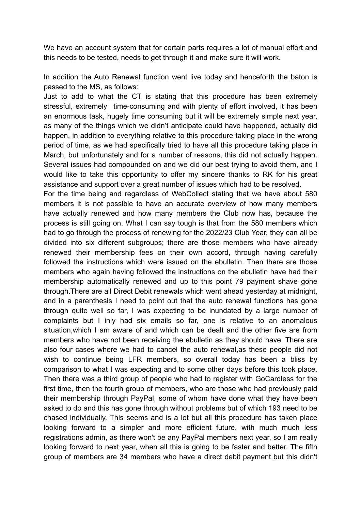We have an account system that for certain parts requires a lot of manual effort and this needs to be tested, needs to get through it and make sure it will work.

In addition the Auto Renewal function went live today and henceforth the baton is passed to the MS, as follows:

Just to add to what the CT is stating that this procedure has been extremely stressful, extremely time-consuming and with plenty of effort involved, it has been an enormous task, hugely time consuming but it will be extremely simple next year, as many of the things which we didn't anticipate could have happened, actually did happen, in addition to everything relative to this procedure taking place in the wrong period of time, as we had specifically tried to have all this procedure taking place in March, but unfortunately and for a number of reasons, this did not actually happen. Several issues had compounded on and we did our best trying to avoid them, and I would like to take this opportunity to offer my sincere thanks to RK for his great assistance and support over a great number of issues which had to be resolved.

For the time being and regardless of WebCollect stating that we have about 580 members it is not possible to have an accurate overview of how many members have actually renewed and how many members the Club now has, because the process is still going on. What I can say tough is that from the 580 members which had to go through the process of renewing for the 2022/23 Club Year, they can all be divided into six different subgroups; there are those members who have already renewed their membership fees on their own accord, through having carefully followed the instructions which were issued on the ebulletin. Then there are those members who again having followed the instructions on the ebulletin have had their membership automatically renewed and up to this point 79 payment shave gone through.There are all Direct Debit renewals which went ahead yesterday at midnight, and in a parenthesis I need to point out that the auto renewal functions has gone through quite well so far, I was expecting to be inundated by a large number of complaints but I inly had six emails so far, one is relative to an anomalous situation,which I am aware of and which can be dealt and the other five are from members who have not been receiving the ebulletin as they should have. There are also four cases where we had to cancel the auto renewal,as these people did not wish to continue being LFR members, so overall today has been a bliss by comparison to what I was expecting and to some other days before this took place. Then there was a third group of people who had to register with GoCardless for the first time, then the fourth group of members, who are those who had previously paid their membership through PayPal, some of whom have done what they have been asked to do and this has gone through without problems but of which 193 need to be chased individually. This seems and is a lot but all this procedure has taken place looking forward to a simpler and more efficient future, with much much less registrations admin, as there won't be any PayPal members next year, so I am really looking forward to next year, when all this is going to be faster and better. The fifth group of members are 34 members who have a direct debit payment but this didn't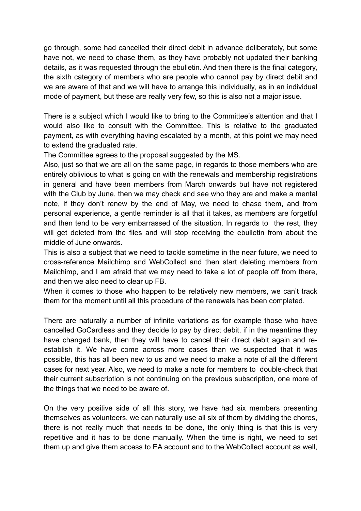go through, some had cancelled their direct debit in advance deliberately, but some have not, we need to chase them, as they have probably not updated their banking details, as it was requested through the ebulletin. And then there is the final category, the sixth category of members who are people who cannot pay by direct debit and we are aware of that and we will have to arrange this individually, as in an individual mode of payment, but these are really very few, so this is also not a major issue.

There is a subject which I would like to bring to the Committee's attention and that I would also like to consult with the Committee. This is relative to the graduated payment, as with everything having escalated by a month, at this point we may need to extend the graduated rate.

The Committee agrees to the proposal suggested by the MS.

Also, just so that we are all on the same page, in regards to those members who are entirely oblivious to what is going on with the renewals and membership registrations in general and have been members from March onwards but have not registered with the Club by June, then we may check and see who they are and make a mental note, if they don't renew by the end of May, we need to chase them, and from personal experience, a gentle reminder is all that it takes, as members are forgetful and then tend to be very embarrassed of the situation. In regards to the rest, they will get deleted from the files and will stop receiving the ebulletin from about the middle of June onwards.

This is also a subject that we need to tackle sometime in the near future, we need to cross-reference Mailchimp and WebCollect and then start deleting members from Mailchimp, and I am afraid that we may need to take a lot of people off from there, and then we also need to clear up FB.

When it comes to those who happen to be relatively new members, we can't track them for the moment until all this procedure of the renewals has been completed.

There are naturally a number of infinite variations as for example those who have cancelled GoCardless and they decide to pay by direct debit, if in the meantime they have changed bank, then they will have to cancel their direct debit again and reestablish it. We have come across more cases than we suspected that it was possible, this has all been new to us and we need to make a note of all the different cases for next year. Also, we need to make a note for members to double-check that their current subscription is not continuing on the previous subscription, one more of the things that we need to be aware of.

On the very positive side of all this story, we have had six members presenting themselves as volunteers, we can naturally use all six of them by dividing the chores, there is not really much that needs to be done, the only thing is that this is very repetitive and it has to be done manually. When the time is right, we need to set them up and give them access to EA account and to the WebCollect account as well,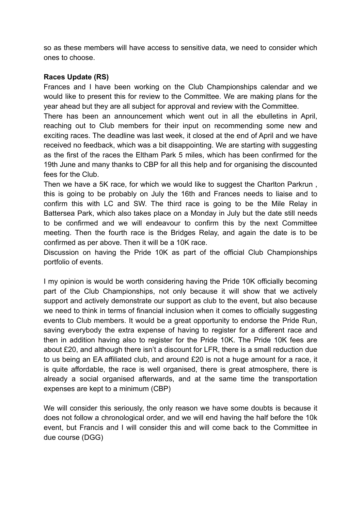so as these members will have access to sensitive data, we need to consider which ones to choose.

# **Races Update (RS)**

Frances and I have been working on the Club Championships calendar and we would like to present this for review to the Committee. We are making plans for the year ahead but they are all subject for approval and review with the Committee.

There has been an announcement which went out in all the ebulletins in April, reaching out to Club members for their input on recommending some new and exciting races. The deadline was last week, it closed at the end of April and we have received no feedback, which was a bit disappointing. We are starting with suggesting as the first of the races the Eltham Park 5 miles, which has been confirmed for the 19th June and many thanks to CBP for all this help and for organising the discounted fees for the Club.

Then we have a 5K race, for which we would like to suggest the Charlton Parkrun , this is going to be probably on July the 16th and Frances needs to liaise and to confirm this with LC and SW. The third race is going to be the Mile Relay in Battersea Park, which also takes place on a Monday in July but the date still needs to be confirmed and we will endeavour to confirm this by the next Committee meeting. Then the fourth race is the Bridges Relay, and again the date is to be confirmed as per above. Then it will be a 10K race.

Discussion on having the Pride 10K as part of the official Club Championships portfolio of events.

I my opinion is would be worth considering having the Pride 10K officially becoming part of the Club Championships, not only because it will show that we actively support and actively demonstrate our support as club to the event, but also because we need to think in terms of financial inclusion when it comes to officially suggesting events to Club members. It would be a great opportunity to endorse the Pride Run, saving everybody the extra expense of having to register for a different race and then in addition having also to register for the Pride 10K. The Pride 10K fees are about £20, and although there isn't a discount for LFR, there is a small reduction due to us being an EA affiliated club, and around £20 is not a huge amount for a race, it is quite affordable, the race is well organised, there is great atmosphere, there is already a social organised afterwards, and at the same time the transportation expenses are kept to a minimum (CBP)

We will consider this seriously, the only reason we have some doubts is because it does not follow a chronological order, and we will end having the half before the 10k event, but Francis and I will consider this and will come back to the Committee in due course (DGG)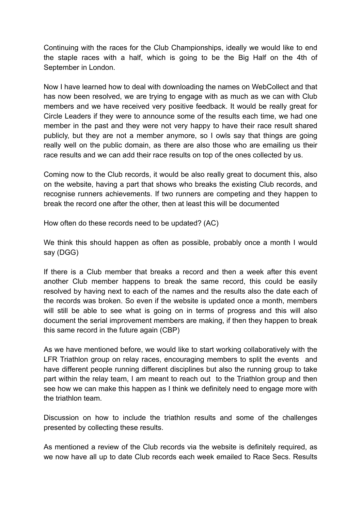Continuing with the races for the Club Championships, ideally we would like to end the staple races with a half, which is going to be the Big Half on the 4th of September in London.

Now I have learned how to deal with downloading the names on WebCollect and that has now been resolved, we are trying to engage with as much as we can with Club members and we have received very positive feedback. It would be really great for Circle Leaders if they were to announce some of the results each time, we had one member in the past and they were not very happy to have their race result shared publicly, but they are not a member anymore, so I owls say that things are going really well on the public domain, as there are also those who are emailing us their race results and we can add their race results on top of the ones collected by us.

Coming now to the Club records, it would be also really great to document this, also on the website, having a part that shows who breaks the existing Club records, and recognise runners achievements. If two runners are competing and they happen to break the record one after the other, then at least this will be documented

How often do these records need to be updated? (AC)

We think this should happen as often as possible, probably once a month I would say (DGG)

If there is a Club member that breaks a record and then a week after this event another Club member happens to break the same record, this could be easily resolved by having next to each of the names and the results also the date each of the records was broken. So even if the website is updated once a month, members will still be able to see what is going on in terms of progress and this will also document the serial improvement members are making, if then they happen to break this same record in the future again (CBP)

As we have mentioned before, we would like to start working collaboratively with the LFR Triathlon group on relay races, encouraging members to split the events and have different people running different disciplines but also the running group to take part within the relay team, I am meant to reach out to the Triathlon group and then see how we can make this happen as I think we definitely need to engage more with the triathlon team.

Discussion on how to include the triathlon results and some of the challenges presented by collecting these results.

As mentioned a review of the Club records via the website is definitely required, as we now have all up to date Club records each week emailed to Race Secs. Results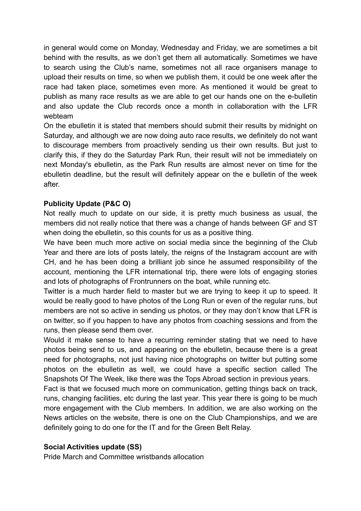in general would come on Monday, Wednesday and Friday, we are sometimes a bit behind with the results, as we don't get them all automatically. Sometimes we have to search using the Club's name, sometimes not all race organisers manage to upload their results on time, so when we publish them, it could be one week after the race had taken place, sometimes even more. As mentioned it would be great to publish as many race results as we are able to get our hands one on the e-bulletin and also update the Club records once a month in collaboration with the LFR webteam

On the ebulletin it is stated that members should submit their results by midnight on Saturday, and although we are now doing auto race results, we definitely do not want to discourage members from proactively sending us their own results. But just to clarify this, if they do the Saturday Park Run, their result will not be immediately on next Monday's ebulletin, as the Park Run results are almost never on time for the ebulletin deadline, but the result will definitely appear on the e bulletin of the week after.

# **Publicity Update (P&C O)**

Not really much to update on our side, it is pretty much business as usual, the members did not really notice that there was a change of hands between GF and ST when doing the ebulletin, so this counts for us as a positive thing.

We have been much more active on social media since the beginning of the Club Year and there are lots of posts lately, the reigns of the Instagram account are with CH, and he has been doing a brilliant job since he assumed responsibility of the account, mentioning the LFR international trip, there were lots of engaging stories and lots of photographs of Frontrunners on the boat, while running etc.

Twitter is a much harder field to master but we are trying to keep it up to speed. It would be really good to have photos of the Long Run or even of the regular runs, but members are not so active in sending us photos, or they may don't know that LFR is on twitter, so if you happen to have any photos from coaching sessions and from the runs, then please send them over.

Would it make sense to have a recurring reminder stating that we need to have photos being send to us, and appearing on the ebulletin, because there is a great need for photographs, not just having nice photographs on twitter but putting some photos on the ebulletin as well, we could have a specific section called The Snapshots Of The Week, like there was the Tops Abroad section in previous years.

Fact is that we focused much more on communication, getting things back on track, runs, changing facilities, etc during the last year. This year there is going to be much more engagement with the Club members. In addition, we are also working on the News articles on the website, there is one on the Club Championships, and we are definitely going to do one for the IT and for the Green Belt Relay.

# **Social Activities update (SS)**

Pride March and Committee wristbands allocation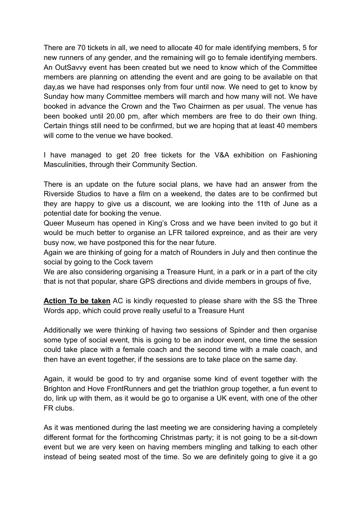There are 70 tickets in all, we need to allocate 40 for male identifying members, 5 for new runners of any gender, and the remaining will go to female identifying members. An OutSavvy event has been created but we need to know which of the Committee members are planning on attending the event and are going to be available on that day,as we have had responses only from four until now. We need to get to know by Sunday how many Committee members will march and how many will not. We have booked in advance the Crown and the Two Chairmen as per usual. The venue has been booked until 20.00 pm, after which members are free to do their own thing. Certain things still need to be confirmed, but we are hoping that at least 40 members will come to the venue we have booked.

I have managed to get 20 free tickets for the V&A exhibition on Fashioning Masculinities, through their Community Section.

There is an update on the future social plans, we have had an answer from the Riverside Studios to have a film on a weekend, the dates are to be confirmed but they are happy to give us a discount, we are looking into the 11th of June as a potential date for booking the venue.

Queer Museum has opened in King's Cross and we have been invited to go but it would be much better to organise an LFR tailored expreince, and as their are very busy now, we have postponed this for the near future.

Again we are thinking of going for a match of Rounders in July and then continue the social by going to the Cock tavern

We are also considering organising a Treasure Hunt, in a park or in a part of the city that is not that popular, share GPS directions and divide members in groups of five,

**Action To be taken** AC is kindly requested to please share with the SS the Three Words app, which could prove really useful to a Treasure Hunt

Additionally we were thinking of having two sessions of Spinder and then organise some type of social event, this is going to be an indoor event, one time the session could take place with a female coach and the second time with a male coach, and then have an event together, if the sessions are to take place on the same day.

Again, it would be good to try and organise some kind of event together with the Brighton and Hove FrontRunners and get the triathlon group together, a fun event to do, link up with them, as it would be go to organise a UK event, with one of the other FR clubs.

As it was mentioned during the last meeting we are considering having a completely different format for the forthcoming Christmas party; it is not going to be a sit-down event but we are very keen on having members mingling and talking to each other instead of being seated most of the time. So we are definitely going to give it a go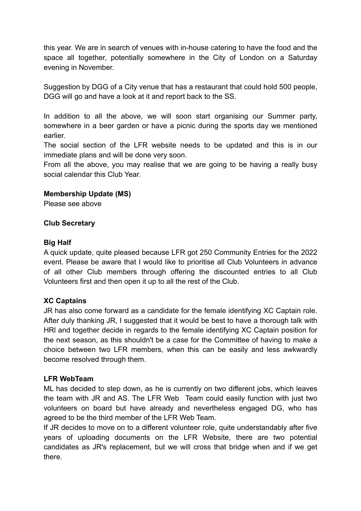this year. We are in search of venues with in-house catering to have the food and the space all together, potentially somewhere in the City of London on a Saturday evening in November.

Suggestion by DGG of a City venue that has a restaurant that could hold 500 people, DGG will go and have a look at it and report back to the SS.

In addition to all the above, we will soon start organising our Summer party, somewhere in a beer garden or have a picnic during the sports day we mentioned earlier.

The social section of the LFR website needs to be updated and this is in our immediate plans and will be done very soon.

From all the above, you may realise that we are going to be having a really busy social calendar this Club Year.

## **Membership Update (MS)**

Please see above

## **Club Secretary**

#### **Big Half**

A quick update, quite pleased because LFR got 250 Community Entries for the 2022 event. Please be aware that I would like to prioritise all Club Volunteers in advance of all other Club members through offering the discounted entries to all Club Volunteers first and then open it up to all the rest of the Club.

#### **XC Captains**

JR has also come forward as a candidate for the female identifying XC Captain role. After duly thanking JR, I suggested that it would be best to have a thorough talk with HRl and together decide in regards to the female identifying XC Captain position for the next season, as this shouldn't be a case for the Committee of having to make a choice between two LFR members, when this can be easily and less awkwardly become resolved through them.

#### **LFR WebTeam**

ML has decided to step down, as he is currently on two different jobs, which leaves the team with JR and AS. The LFR Web Team could easily function with just two volunteers on board but have already and nevertheless engaged DG, who has agreed to be the third member of the LFR Web Team.

If JR decides to move on to a different volunteer role, quite understandably after five years of uploading documents on the LFR Website, there are two potential candidates as JR's replacement, but we will cross that bridge when and if we get there.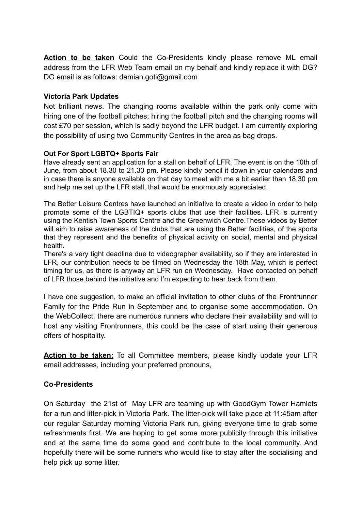**Action to be taken** Could the Co-Presidents kindly please remove ML email address from the LFR Web Team email on my behalf and kindly replace it with DG? DG email is as follows: damian.goti@gmail.com

### **Victoria Park Updates**

Not brilliant news. The changing rooms available within the park only come with hiring one of the football pitches; hiring the football pitch and the changing rooms will cost £70 per session, which is sadly beyond the LFR budget. I am currently exploring the possibility of using two Community Centres in the area as bag drops.

## **Out For Sport LGBTQ+ Sports Fair**

Have already sent an application for a stall on behalf of LFR. The event is on the 10th of June, from about 18.30 to 21.30 pm. Please kindly pencil it down in your calendars and in case there is anyone available on that day to meet with me a bit earlier than 18.30 pm and help me set up the LFR stall, that would be enormously appreciated.

The Better Leisure Centres have launched an initiative to create a video in order to help promote some of the LGBTIQ+ sports clubs that use their facilities. LFR is currently using the Kentish Town Sports Centre and the Greenwich Centre.These videos by Better will aim to raise awareness of the clubs that are using the Better facilities, of the sports that they represent and the benefits of physical activity on social, mental and physical health.

There's a very tight deadline due to videographer availability, so if they are interested in LFR, our contribution needs to be filmed on Wednesday the 18th May, which is perfect timing for us, as there is anyway an LFR run on Wednesday. Have contacted on behalf of LFR those behind the initiative and I'm expecting to hear back from them.

I have one suggestion, to make an official invitation to other clubs of the Frontrunner Family for the Pride Run in September and to organise some accommodation. On the WebCollect, there are numerous runners who declare their availability and will to host any visiting Frontrunners, this could be the case of start using their generous offers of hospitality.

**Action to be taken:** To all Committee members, please kindly update your LFR email addresses, including your preferred pronouns,

# **Co-Presidents**

On Saturday the 21st of May LFR are teaming up with GoodGym Tower Hamlets for a run and litter-pick in Victoria Park. The litter-pick will take place at 11:45am after our regular Saturday morning Victoria Park run, giving everyone time to grab some refreshments first. We are hoping to get some more publicity through this initiative and at the same time do some good and contribute to the local community. And hopefully there will be some runners who would like to stay after the socialising and help pick up some litter.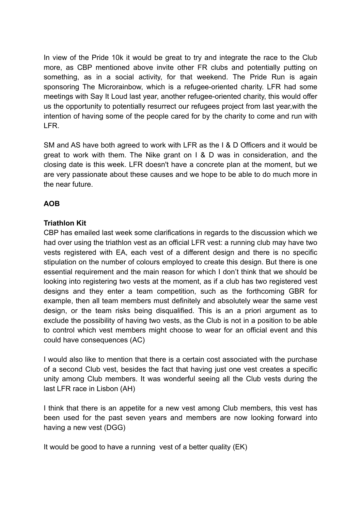In view of the Pride 10k it would be great to try and integrate the race to the Club more, as CBP mentioned above invite other FR clubs and potentially putting on something, as in a social activity, for that weekend. The Pride Run is again sponsoring The Microrainbow, which is a refugee-oriented charity. LFR had some meetings with Say It Loud last year, another refugee-oriented charity, this would offer us the opportunity to potentially resurrect our refugees project from last year,with the intention of having some of the people cared for by the charity to come and run with LFR.

SM and AS have both agreed to work with LFR as the I & D Officers and it would be great to work with them. The Nike grant on I & D was in consideration, and the closing date is this week. LFR doesn't have a concrete plan at the moment, but we are very passionate about these causes and we hope to be able to do much more in the near future.

# **AOB**

## **Triathlon Kit**

CBP has emailed last week some clarifications in regards to the discussion which we had over using the triathlon vest as an official LFR vest: a running club may have two vests registered with EA, each vest of a different design and there is no specific stipulation on the number of colours employed to create this design. But there is one essential requirement and the main reason for which I don't think that we should be looking into registering two vests at the moment, as if a club has two registered vest designs and they enter a team competition, such as the forthcoming GBR for example, then all team members must definitely and absolutely wear the same vest design, or the team risks being disqualified. This is an a priori argument as to exclude the possibility of having two vests, as the Club is not in a position to be able to control which vest members might choose to wear for an official event and this could have consequences (AC)

I would also like to mention that there is a certain cost associated with the purchase of a second Club vest, besides the fact that having just one vest creates a specific unity among Club members. It was wonderful seeing all the Club vests during the last LFR race in Lisbon (AH)

I think that there is an appetite for a new vest among Club members, this vest has been used for the past seven years and members are now looking forward into having a new vest (DGG)

It would be good to have a running vest of a better quality (EK)